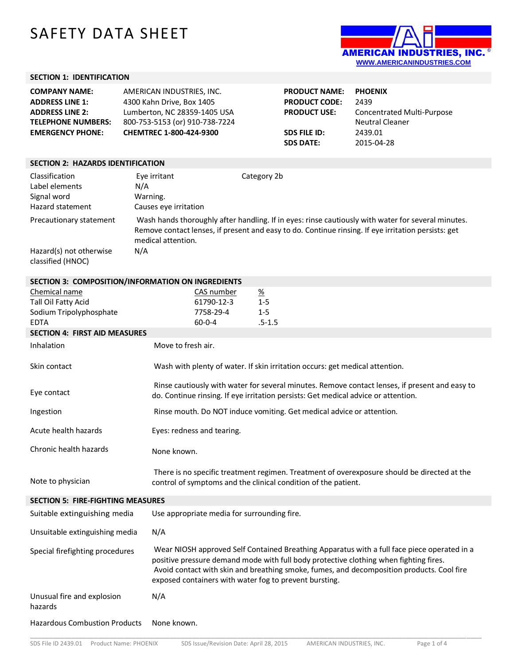## SAFETY DATA SHEET



## **SECTION 1: IDENTIFICATION**

| <b>COMPANY NAME:</b><br><b>ADDRESS LINE 1:</b><br><b>ADDRESS LINE 2:</b><br><b>TELEPHONE NUMBERS:</b><br><b>EMERGENCY PHONE:</b> | AMERICAN INDUSTRIES, INC.<br>4300 Kahn Drive, Box 1405<br>Lumberton, NC 28359-1405 USA<br>800-753-5153 (or) 910-738-7224<br>CHEMTREC 1-800-424-9300 | <b>PRODUCT NAME:</b><br><b>PRODUCT CODE:</b><br><b>PRODUCT USE:</b><br><b>SDS FILE ID:</b><br><b>SDS DATE:</b> | <b>PHOENIX</b><br>2439<br>Concentrated Multi-Purpose<br><b>Neutral Cleaner</b><br>2439.01<br>2015-04-28 |  |
|----------------------------------------------------------------------------------------------------------------------------------|-----------------------------------------------------------------------------------------------------------------------------------------------------|----------------------------------------------------------------------------------------------------------------|---------------------------------------------------------------------------------------------------------|--|
| <b>SECTION 2: HAZARDS IDENTIFICATION</b>                                                                                         |                                                                                                                                                     |                                                                                                                |                                                                                                         |  |

| Classification<br>Label elements<br>Signal word<br>Hazard statement     | Eye irritant<br>N/A<br>Warning.<br>Causes eye irritation | Category 2b                                                                                                                                                                                               |
|-------------------------------------------------------------------------|----------------------------------------------------------|-----------------------------------------------------------------------------------------------------------------------------------------------------------------------------------------------------------|
| Precautionary statement<br>Hazard(s) not otherwise<br>classified (HNOC) | medical attention.<br>N/A                                | Wash hands thoroughly after handling. If in eyes: rinse cautiously with water for several minutes.<br>Remove contact lenses, if present and easy to do. Continue rinsing. If eye irritation persists: get |

| SECTION 3: COMPOSITION/INFORMATION ON INGREDIENTS |                                                                |                                                                                                                                                                                                                                                                                   |  |  |
|---------------------------------------------------|----------------------------------------------------------------|-----------------------------------------------------------------------------------------------------------------------------------------------------------------------------------------------------------------------------------------------------------------------------------|--|--|
| Chemical name                                     | CAS number                                                     | $\frac{\%}{\%}$                                                                                                                                                                                                                                                                   |  |  |
| Tall Oil Fatty Acid                               | 61790-12-3                                                     | $1 - 5$                                                                                                                                                                                                                                                                           |  |  |
| Sodium Tripolyphosphate                           | 7758-29-4                                                      | $1 - 5$                                                                                                                                                                                                                                                                           |  |  |
| <b>EDTA</b>                                       | $60 - 0 - 4$                                                   | $.5 - 1.5$                                                                                                                                                                                                                                                                        |  |  |
| <b>SECTION 4: FIRST AID MEASURES</b>              |                                                                |                                                                                                                                                                                                                                                                                   |  |  |
| Inhalation                                        | Move to fresh air.                                             |                                                                                                                                                                                                                                                                                   |  |  |
| Skin contact                                      |                                                                | Wash with plenty of water. If skin irritation occurs: get medical attention.                                                                                                                                                                                                      |  |  |
| Eye contact                                       |                                                                | Rinse cautiously with water for several minutes. Remove contact lenses, if present and easy to<br>do. Continue rinsing. If eye irritation persists: Get medical advice or attention.                                                                                              |  |  |
| Ingestion                                         |                                                                | Rinse mouth. Do NOT induce vomiting. Get medical advice or attention.                                                                                                                                                                                                             |  |  |
| Acute health hazards                              | Eyes: redness and tearing.                                     |                                                                                                                                                                                                                                                                                   |  |  |
| Chronic health hazards                            | None known.                                                    |                                                                                                                                                                                                                                                                                   |  |  |
| Note to physician                                 | control of symptoms and the clinical condition of the patient. | There is no specific treatment regimen. Treatment of overexposure should be directed at the                                                                                                                                                                                       |  |  |
| <b>SECTION 5: FIRE-FIGHTING MEASURES</b>          |                                                                |                                                                                                                                                                                                                                                                                   |  |  |
| Suitable extinguishing media                      | Use appropriate media for surrounding fire.                    |                                                                                                                                                                                                                                                                                   |  |  |
| Unsuitable extinguishing media                    | N/A                                                            |                                                                                                                                                                                                                                                                                   |  |  |
| Special firefighting procedures                   | exposed containers with water fog to prevent bursting.         | Wear NIOSH approved Self Contained Breathing Apparatus with a full face piece operated in a<br>positive pressure demand mode with full body protective clothing when fighting fires.<br>Avoid contact with skin and breathing smoke, fumes, and decomposition products. Cool fire |  |  |
| Unusual fire and explosion<br>hazards             | N/A                                                            |                                                                                                                                                                                                                                                                                   |  |  |
| <b>Hazardous Combustion Products</b>              | None known.                                                    |                                                                                                                                                                                                                                                                                   |  |  |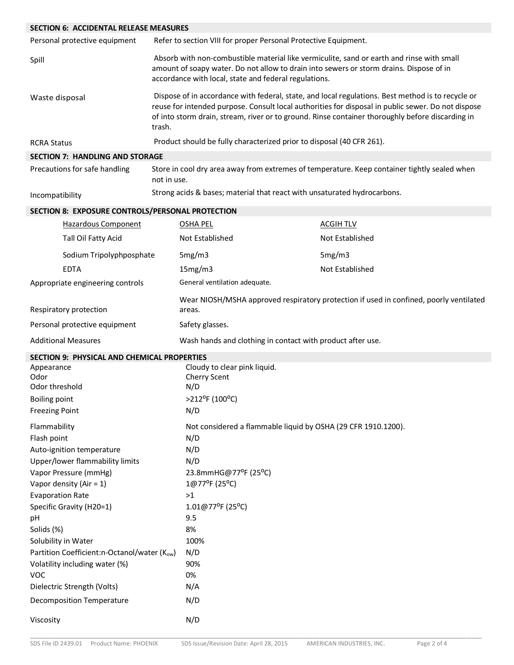| <b>SECTION 6: ACCIDENTAL RELEASE MEASURES</b>       |             |                                                                          |                                                                                                                                                                                                                                                                                                             |
|-----------------------------------------------------|-------------|--------------------------------------------------------------------------|-------------------------------------------------------------------------------------------------------------------------------------------------------------------------------------------------------------------------------------------------------------------------------------------------------------|
| Personal protective equipment                       |             | Refer to section VIII for proper Personal Protective Equipment.          |                                                                                                                                                                                                                                                                                                             |
| Spill                                               |             | accordance with local, state and federal regulations.                    | Absorb with non-combustible material like vermiculite, sand or earth and rinse with small<br>amount of soapy water. Do not allow to drain into sewers or storm drains. Dispose of in                                                                                                                        |
| Waste disposal                                      | trash.      |                                                                          | Dispose of in accordance with federal, state, and local regulations. Best method is to recycle or<br>reuse for intended purpose. Consult local authorities for disposal in public sewer. Do not dispose<br>of into storm drain, stream, river or to ground. Rinse container thoroughly before discarding in |
| <b>RCRA Status</b>                                  |             | Product should be fully characterized prior to disposal (40 CFR 261).    |                                                                                                                                                                                                                                                                                                             |
| <b>SECTION 7: HANDLING AND STORAGE</b>              |             |                                                                          |                                                                                                                                                                                                                                                                                                             |
| Precautions for safe handling                       | not in use. |                                                                          | Store in cool dry area away from extremes of temperature. Keep container tightly sealed when                                                                                                                                                                                                                |
| Incompatibility                                     |             | Strong acids & bases; material that react with unsaturated hydrocarbons. |                                                                                                                                                                                                                                                                                                             |
| SECTION 8: EXPOSURE CONTROLS/PERSONAL PROTECTION    |             |                                                                          |                                                                                                                                                                                                                                                                                                             |
| Hazardous Component                                 |             | <b>OSHA PEL</b>                                                          | <b>ACGIH TLV</b>                                                                                                                                                                                                                                                                                            |
| Tall Oil Fatty Acid                                 |             | Not Established                                                          | Not Established                                                                                                                                                                                                                                                                                             |
| Sodium Tripolyphposphate                            |             | 5mg/m3                                                                   | 5mg/m3                                                                                                                                                                                                                                                                                                      |
| <b>EDTA</b>                                         |             | 15mg/m3                                                                  | Not Established                                                                                                                                                                                                                                                                                             |
| Appropriate engineering controls                    |             | General ventilation adequate.                                            |                                                                                                                                                                                                                                                                                                             |
| Respiratory protection                              |             | areas.                                                                   | Wear NIOSH/MSHA approved respiratory protection if used in confined, poorly ventilated                                                                                                                                                                                                                      |
| Personal protective equipment                       |             | Safety glasses.                                                          |                                                                                                                                                                                                                                                                                                             |
| <b>Additional Measures</b>                          |             | Wash hands and clothing in contact with product after use.               |                                                                                                                                                                                                                                                                                                             |
| <b>SECTION 9: PHYSICAL AND CHEMICAL PROPERTIES</b>  |             |                                                                          |                                                                                                                                                                                                                                                                                                             |
| Appearance                                          |             | Cloudy to clear pink liquid.                                             |                                                                                                                                                                                                                                                                                                             |
| Odor<br>Odor threshold                              |             | Cherry Scent<br>N/D                                                      |                                                                                                                                                                                                                                                                                                             |
| Boiling point                                       |             | >212°F (100°C)                                                           |                                                                                                                                                                                                                                                                                                             |
| <b>Freezing Point</b>                               |             | N/D                                                                      |                                                                                                                                                                                                                                                                                                             |
| Flammability                                        |             | Not considered a flammable liquid by OSHA (29 CFR 1910.1200).            |                                                                                                                                                                                                                                                                                                             |
| Flash point                                         |             | N/D                                                                      |                                                                                                                                                                                                                                                                                                             |
| Auto-ignition temperature                           |             | N/D                                                                      |                                                                                                                                                                                                                                                                                                             |
| Upper/lower flammability limits                     |             | N/D                                                                      |                                                                                                                                                                                                                                                                                                             |
| Vapor Pressure (mmHg)<br>Vapor density (Air = $1$ ) |             | 23.8mmHG@77°F (25°C)<br>1@77°F (25°C)                                    |                                                                                                                                                                                                                                                                                                             |
| <b>Evaporation Rate</b>                             |             | >1                                                                       |                                                                                                                                                                                                                                                                                                             |
| Specific Gravity (H20=1)                            |             | 1.01@77°F (25°C)                                                         |                                                                                                                                                                                                                                                                                                             |
| pH                                                  |             | 9.5                                                                      |                                                                                                                                                                                                                                                                                                             |
| Solids (%)                                          |             | 8%                                                                       |                                                                                                                                                                                                                                                                                                             |
| Solubility in Water                                 |             | 100%                                                                     |                                                                                                                                                                                                                                                                                                             |
| Partition Coefficient:n-Octanol/water (Kow)         |             | N/D                                                                      |                                                                                                                                                                                                                                                                                                             |
| Volatility including water (%)                      |             | 90%                                                                      |                                                                                                                                                                                                                                                                                                             |
| <b>VOC</b>                                          |             | 0%                                                                       |                                                                                                                                                                                                                                                                                                             |
| Dielectric Strength (Volts)                         |             | N/A                                                                      |                                                                                                                                                                                                                                                                                                             |
| <b>Decomposition Temperature</b>                    |             | N/D                                                                      |                                                                                                                                                                                                                                                                                                             |
| Viscosity                                           |             | N/D                                                                      |                                                                                                                                                                                                                                                                                                             |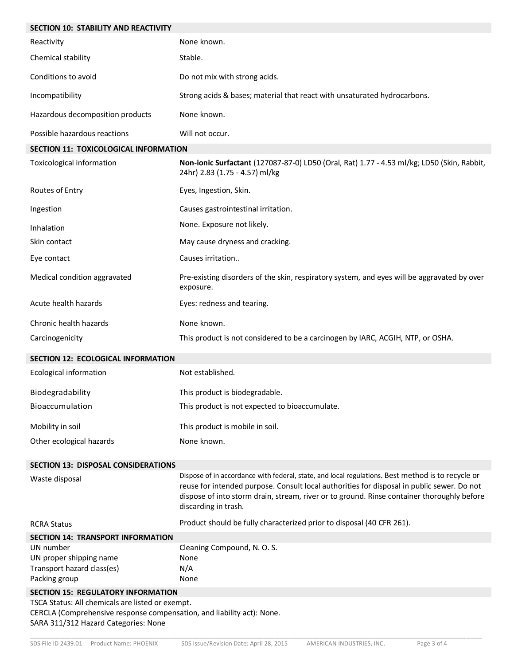| <b>SECTION 10: STABILITY AND REACTIVITY</b>                                                                                                                        |                                                                                                                                                                                                                                                                                                                       |
|--------------------------------------------------------------------------------------------------------------------------------------------------------------------|-----------------------------------------------------------------------------------------------------------------------------------------------------------------------------------------------------------------------------------------------------------------------------------------------------------------------|
| Reactivity                                                                                                                                                         | None known.                                                                                                                                                                                                                                                                                                           |
| Chemical stability                                                                                                                                                 | Stable.                                                                                                                                                                                                                                                                                                               |
| Conditions to avoid                                                                                                                                                | Do not mix with strong acids.                                                                                                                                                                                                                                                                                         |
| Incompatibility                                                                                                                                                    | Strong acids & bases; material that react with unsaturated hydrocarbons.                                                                                                                                                                                                                                              |
| Hazardous decomposition products                                                                                                                                   | None known.                                                                                                                                                                                                                                                                                                           |
| Possible hazardous reactions                                                                                                                                       | Will not occur.                                                                                                                                                                                                                                                                                                       |
| SECTION 11: TOXICOLOGICAL INFORMATION                                                                                                                              |                                                                                                                                                                                                                                                                                                                       |
| Toxicological information                                                                                                                                          | Non-ionic Surfactant (127087-87-0) LD50 (Oral, Rat) 1.77 - 4.53 ml/kg; LD50 (Skin, Rabbit,<br>24hr) 2.83 (1.75 - 4.57) ml/kg                                                                                                                                                                                          |
| Routes of Entry                                                                                                                                                    | Eyes, Ingestion, Skin.                                                                                                                                                                                                                                                                                                |
| Ingestion                                                                                                                                                          | Causes gastrointestinal irritation.                                                                                                                                                                                                                                                                                   |
| Inhalation                                                                                                                                                         | None. Exposure not likely.                                                                                                                                                                                                                                                                                            |
| Skin contact                                                                                                                                                       | May cause dryness and cracking.                                                                                                                                                                                                                                                                                       |
| Eye contact                                                                                                                                                        | Causes irritation                                                                                                                                                                                                                                                                                                     |
| Medical condition aggravated                                                                                                                                       | Pre-existing disorders of the skin, respiratory system, and eyes will be aggravated by over<br>exposure.                                                                                                                                                                                                              |
| Acute health hazards                                                                                                                                               | Eyes: redness and tearing.                                                                                                                                                                                                                                                                                            |
| Chronic health hazards                                                                                                                                             | None known.                                                                                                                                                                                                                                                                                                           |
| Carcinogenicity                                                                                                                                                    | This product is not considered to be a carcinogen by IARC, ACGIH, NTP, or OSHA.                                                                                                                                                                                                                                       |
| SECTION 12: ECOLOGICAL INFORMATION                                                                                                                                 |                                                                                                                                                                                                                                                                                                                       |
| <b>Ecological information</b>                                                                                                                                      | Not established.                                                                                                                                                                                                                                                                                                      |
| Biodegradability                                                                                                                                                   | This product is biodegradable.                                                                                                                                                                                                                                                                                        |
| Bioaccumulation                                                                                                                                                    | This product is not expected to bioaccumulate.                                                                                                                                                                                                                                                                        |
| Mobility in soil                                                                                                                                                   | This product is mobile in soil.                                                                                                                                                                                                                                                                                       |
| Other ecological hazards                                                                                                                                           | None known.                                                                                                                                                                                                                                                                                                           |
| <b>SECTION 13: DISPOSAL CONSIDERATIONS</b>                                                                                                                         |                                                                                                                                                                                                                                                                                                                       |
| Waste disposal                                                                                                                                                     | Dispose of in accordance with federal, state, and local regulations. Best method is to recycle or<br>reuse for intended purpose. Consult local authorities for disposal in public sewer. Do not<br>dispose of into storm drain, stream, river or to ground. Rinse container thoroughly before<br>discarding in trash. |
| <b>RCRA Status</b>                                                                                                                                                 | Product should be fully characterized prior to disposal (40 CFR 261).                                                                                                                                                                                                                                                 |
| <b>SECTION 14: TRANSPORT INFORMATION</b>                                                                                                                           |                                                                                                                                                                                                                                                                                                                       |
| UN number                                                                                                                                                          | Cleaning Compound, N. O. S.<br>None                                                                                                                                                                                                                                                                                   |
| UN proper shipping name<br>Transport hazard class(es)                                                                                                              | N/A                                                                                                                                                                                                                                                                                                                   |
| Packing group                                                                                                                                                      | None                                                                                                                                                                                                                                                                                                                  |
| <b>SECTION 15: REGULATORY INFORMATION</b>                                                                                                                          |                                                                                                                                                                                                                                                                                                                       |
| TSCA Status: All chemicals are listed or exempt.<br>CERCLA (Comprehensive response compensation, and liability act): None.<br>SARA 311/312 Hazard Categories: None |                                                                                                                                                                                                                                                                                                                       |